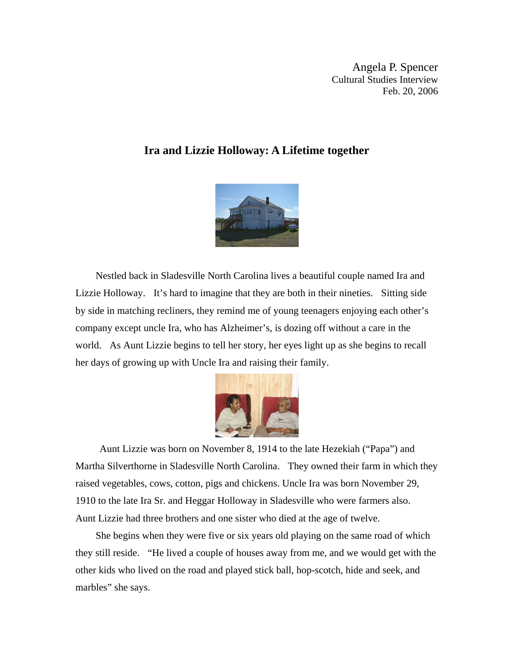Angela P. Spencer Cultural Studies Interview Feb. 20, 2006

## **Ira and Lizzie Holloway: A Lifetime together**



 Nestled back in Sladesville North Carolina lives a beautiful couple named Ira and Lizzie Holloway. It's hard to imagine that they are both in their nineties. Sitting side by side in matching recliners, they remind me of young teenagers enjoying each other's company except uncle Ira, who has Alzheimer's, is dozing off without a care in the world. As Aunt Lizzie begins to tell her story, her eyes light up as she begins to recall her days of growing up with Uncle Ira and raising their family.



 Aunt Lizzie was born on November 8, 1914 to the late Hezekiah ("Papa") and Martha Silverthorne in Sladesville North Carolina. They owned their farm in which they raised vegetables, cows, cotton, pigs and chickens. Uncle Ira was born November 29, 1910 to the late Ira Sr. and Heggar Holloway in Sladesville who were farmers also. Aunt Lizzie had three brothers and one sister who died at the age of twelve.

 She begins when they were five or six years old playing on the same road of which they still reside. "He lived a couple of houses away from me, and we would get with the other kids who lived on the road and played stick ball, hop-scotch, hide and seek, and marbles" she says.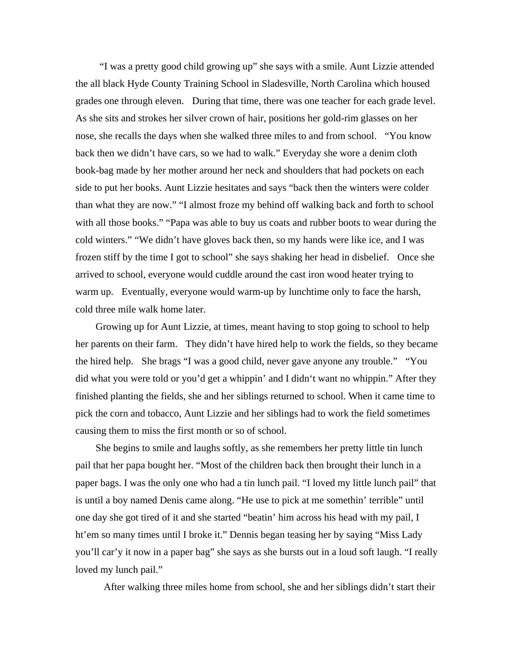"I was a pretty good child growing up" she says with a smile. Aunt Lizzie attended the all black Hyde County Training School in Sladesville, North Carolina which housed grades one through eleven. During that time, there was one teacher for each grade level. As she sits and strokes her silver crown of hair, positions her gold-rim glasses on her nose, she recalls the days when she walked three miles to and from school. "You know back then we didn't have cars, so we had to walk." Everyday she wore a denim cloth book-bag made by her mother around her neck and shoulders that had pockets on each side to put her books. Aunt Lizzie hesitates and says "back then the winters were colder than what they are now." "I almost froze my behind off walking back and forth to school with all those books." "Papa was able to buy us coats and rubber boots to wear during the cold winters." "We didn't have gloves back then, so my hands were like ice, and I was frozen stiff by the time I got to school" she says shaking her head in disbelief. Once she arrived to school, everyone would cuddle around the cast iron wood heater trying to warm up. Eventually, everyone would warm-up by lunchtime only to face the harsh, cold three mile walk home later.

 Growing up for Aunt Lizzie, at times, meant having to stop going to school to help her parents on their farm. They didn't have hired help to work the fields, so they became the hired help. She brags "I was a good child, never gave anyone any trouble." "You did what you were told or you'd get a whippin' and I didn't want no whippin." After they finished planting the fields, she and her siblings returned to school. When it came time to pick the corn and tobacco, Aunt Lizzie and her siblings had to work the field sometimes causing them to miss the first month or so of school.

 She begins to smile and laughs softly, as she remembers her pretty little tin lunch pail that her papa bought her. "Most of the children back then brought their lunch in a paper bags. I was the only one who had a tin lunch pail. "I loved my little lunch pail" that is until a boy named Denis came along. "He use to pick at me somethin' terrible" until one day she got tired of it and she started "beatin' him across his head with my pail, I ht'em so many times until I broke it." Dennis began teasing her by saying "Miss Lady you'll car'y it now in a paper bag" she says as she bursts out in a loud soft laugh. "I really loved my lunch pail."

After walking three miles home from school, she and her siblings didn't start their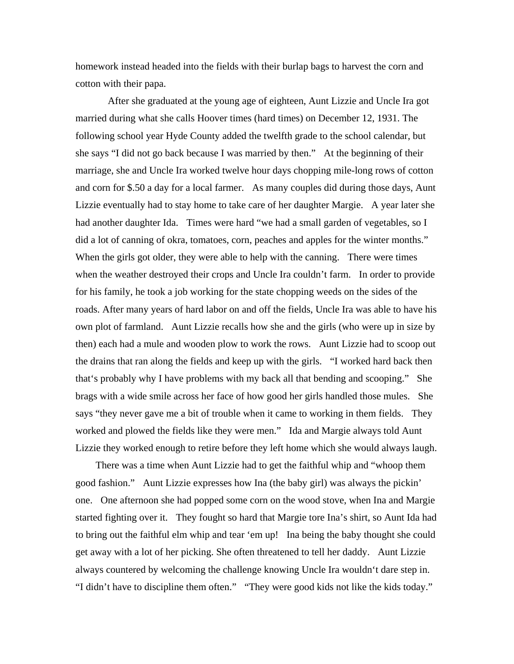homework instead headed into the fields with their burlap bags to harvest the corn and cotton with their papa.

 After she graduated at the young age of eighteen, Aunt Lizzie and Uncle Ira got married during what she calls Hoover times (hard times) on December 12, 1931. The following school year Hyde County added the twelfth grade to the school calendar, but she says "I did not go back because I was married by then." At the beginning of their marriage, she and Uncle Ira worked twelve hour days chopping mile-long rows of cotton and corn for \$.50 a day for a local farmer. As many couples did during those days, Aunt Lizzie eventually had to stay home to take care of her daughter Margie. A year later she had another daughter Ida. Times were hard "we had a small garden of vegetables, so I did a lot of canning of okra, tomatoes, corn, peaches and apples for the winter months." When the girls got older, they were able to help with the canning. There were times when the weather destroyed their crops and Uncle Ira couldn't farm. In order to provide for his family, he took a job working for the state chopping weeds on the sides of the roads. After many years of hard labor on and off the fields, Uncle Ira was able to have his own plot of farmland. Aunt Lizzie recalls how she and the girls (who were up in size by then) each had a mule and wooden plow to work the rows. Aunt Lizzie had to scoop out the drains that ran along the fields and keep up with the girls. "I worked hard back then that's probably why I have problems with my back all that bending and scooping." She brags with a wide smile across her face of how good her girls handled those mules. She says "they never gave me a bit of trouble when it came to working in them fields. They worked and plowed the fields like they were men." Ida and Margie always told Aunt Lizzie they worked enough to retire before they left home which she would always laugh.

 There was a time when Aunt Lizzie had to get the faithful whip and "whoop them good fashion." Aunt Lizzie expresses how Ina (the baby girl) was always the pickin' one. One afternoon she had popped some corn on the wood stove, when Ina and Margie started fighting over it. They fought so hard that Margie tore Ina's shirt, so Aunt Ida had to bring out the faithful elm whip and tear 'em up! Ina being the baby thought she could get away with a lot of her picking. She often threatened to tell her daddy. Aunt Lizzie always countered by welcoming the challenge knowing Uncle Ira wouldn't dare step in. "I didn't have to discipline them often." "They were good kids not like the kids today."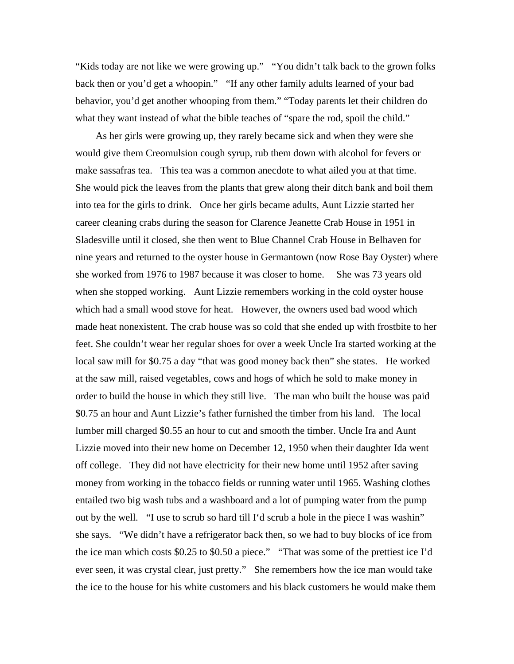"Kids today are not like we were growing up." "You didn't talk back to the grown folks back then or you'd get a whoopin." "If any other family adults learned of your bad behavior, you'd get another whooping from them." "Today parents let their children do what they want instead of what the bible teaches of "spare the rod, spoil the child."

 As her girls were growing up, they rarely became sick and when they were she would give them Creomulsion cough syrup, rub them down with alcohol for fevers or make sassafras tea. This tea was a common anecdote to what ailed you at that time. She would pick the leaves from the plants that grew along their ditch bank and boil them into tea for the girls to drink. Once her girls became adults, Aunt Lizzie started her career cleaning crabs during the season for Clarence Jeanette Crab House in 1951 in Sladesville until it closed, she then went to Blue Channel Crab House in Belhaven for nine years and returned to the oyster house in Germantown (now Rose Bay Oyster) where she worked from 1976 to 1987 because it was closer to home. She was 73 years old when she stopped working. Aunt Lizzie remembers working in the cold oyster house which had a small wood stove for heat. However, the owners used bad wood which made heat nonexistent. The crab house was so cold that she ended up with frostbite to her feet. She couldn't wear her regular shoes for over a week Uncle Ira started working at the local saw mill for \$0.75 a day "that was good money back then" she states. He worked at the saw mill, raised vegetables, cows and hogs of which he sold to make money in order to build the house in which they still live. The man who built the house was paid \$0.75 an hour and Aunt Lizzie's father furnished the timber from his land. The local lumber mill charged \$0.55 an hour to cut and smooth the timber. Uncle Ira and Aunt Lizzie moved into their new home on December 12, 1950 when their daughter Ida went off college. They did not have electricity for their new home until 1952 after saving money from working in the tobacco fields or running water until 1965. Washing clothes entailed two big wash tubs and a washboard and a lot of pumping water from the pump out by the well. "I use to scrub so hard till I'd scrub a hole in the piece I was washin" she says. "We didn't have a refrigerator back then, so we had to buy blocks of ice from the ice man which costs \$0.25 to \$0.50 a piece." "That was some of the prettiest ice I'd ever seen, it was crystal clear, just pretty." She remembers how the ice man would take the ice to the house for his white customers and his black customers he would make them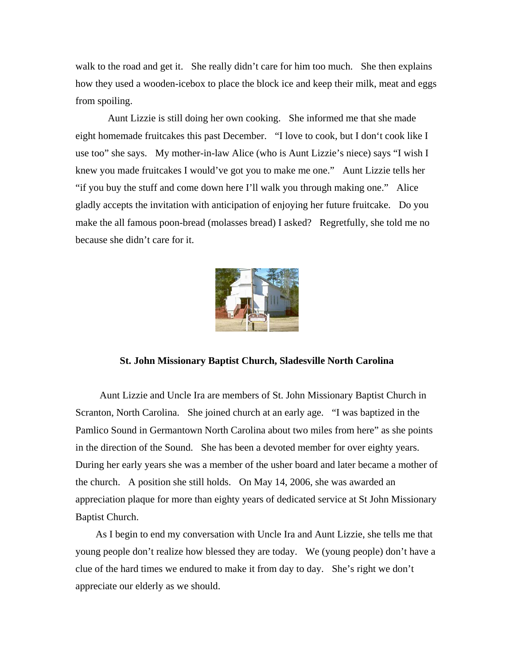walk to the road and get it. She really didn't care for him too much. She then explains how they used a wooden-icebox to place the block ice and keep their milk, meat and eggs from spoiling.

 Aunt Lizzie is still doing her own cooking. She informed me that she made eight homemade fruitcakes this past December. "I love to cook, but I don't cook like I use too" she says. My mother-in-law Alice (who is Aunt Lizzie's niece) says "I wish I knew you made fruitcakes I would've got you to make me one." Aunt Lizzie tells her "if you buy the stuff and come down here I'll walk you through making one." Alice gladly accepts the invitation with anticipation of enjoying her future fruitcake. Do you make the all famous poon-bread (molasses bread) I asked? Regretfully, she told me no because she didn't care for it.



## **St. John Missionary Baptist Church, Sladesville North Carolina**

 Aunt Lizzie and Uncle Ira are members of St. John Missionary Baptist Church in Scranton, North Carolina. She joined church at an early age. "I was baptized in the Pamlico Sound in Germantown North Carolina about two miles from here" as she points in the direction of the Sound. She has been a devoted member for over eighty years. During her early years she was a member of the usher board and later became a mother of the church. A position she still holds. On May 14, 2006, she was awarded an appreciation plaque for more than eighty years of dedicated service at St John Missionary Baptist Church.

 As I begin to end my conversation with Uncle Ira and Aunt Lizzie, she tells me that young people don't realize how blessed they are today. We (young people) don't have a clue of the hard times we endured to make it from day to day. She's right we don't appreciate our elderly as we should.